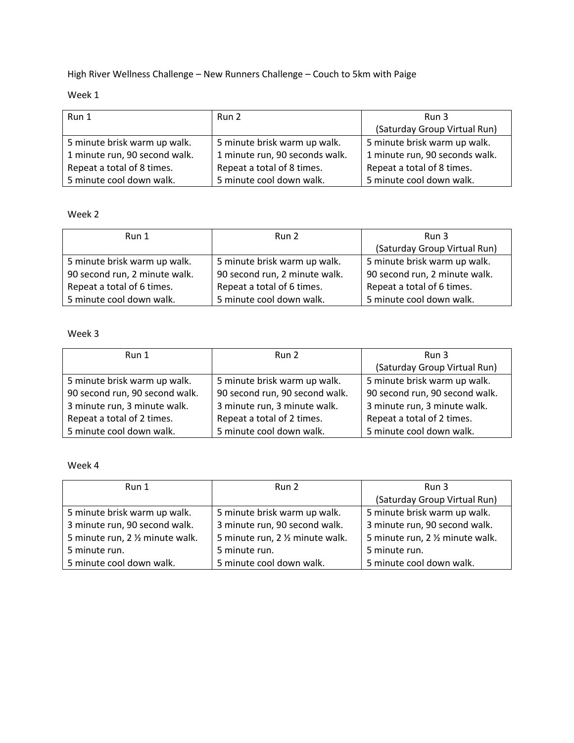High River Wellness Challenge – New Runners Challenge – Couch to 5km with Paige

# Week 1

| Run 1                         | Run 2                          | Run 3                          |
|-------------------------------|--------------------------------|--------------------------------|
|                               |                                | (Saturday Group Virtual Run)   |
| 5 minute brisk warm up walk.  | 5 minute brisk warm up walk.   | 5 minute brisk warm up walk.   |
| 1 minute run, 90 second walk. | 1 minute run, 90 seconds walk. | 1 minute run, 90 seconds walk. |
| Repeat a total of 8 times.    | Repeat a total of 8 times.     | Repeat a total of 8 times.     |
| 5 minute cool down walk.      | 5 minute cool down walk.       | 5 minute cool down walk.       |

## Week 2

| Run 1                         | Run 2                         | Run 3                         |
|-------------------------------|-------------------------------|-------------------------------|
|                               |                               | (Saturday Group Virtual Run)  |
| 5 minute brisk warm up walk.  | 5 minute brisk warm up walk.  | 5 minute brisk warm up walk.  |
| 90 second run, 2 minute walk. | 90 second run, 2 minute walk. | 90 second run, 2 minute walk. |
| Repeat a total of 6 times.    | Repeat a total of 6 times.    | Repeat a total of 6 times.    |
| 5 minute cool down walk.      | 5 minute cool down walk.      | 5 minute cool down walk.      |

#### Week 3

| Run 1                          | Run 2                          | Run 3                          |
|--------------------------------|--------------------------------|--------------------------------|
|                                |                                | (Saturday Group Virtual Run)   |
| 5 minute brisk warm up walk.   | 5 minute brisk warm up walk.   | 5 minute brisk warm up walk.   |
| 90 second run, 90 second walk. | 90 second run, 90 second walk. | 90 second run, 90 second walk. |
| 3 minute run, 3 minute walk.   | 3 minute run, 3 minute walk.   | 3 minute run, 3 minute walk.   |
| Repeat a total of 2 times.     | Repeat a total of 2 times.     | Repeat a total of 2 times.     |
| 5 minute cool down walk.       | 5 minute cool down walk.       | 5 minute cool down walk.       |

## Week 4

| Run 1                            | Run 2                            | Run 3                            |
|----------------------------------|----------------------------------|----------------------------------|
|                                  |                                  | (Saturday Group Virtual Run)     |
| 5 minute brisk warm up walk.     | 5 minute brisk warm up walk.     | 5 minute brisk warm up walk.     |
| 3 minute run, 90 second walk.    | 3 minute run, 90 second walk.    | 3 minute run, 90 second walk.    |
| 5 minute run, 2 1/2 minute walk. | 5 minute run, 2 1/2 minute walk. | 5 minute run, 2 1/2 minute walk. |
| 5 minute run.                    | 5 minute run.                    | 5 minute run.                    |
| 5 minute cool down walk.         | 5 minute cool down walk.         | 5 minute cool down walk.         |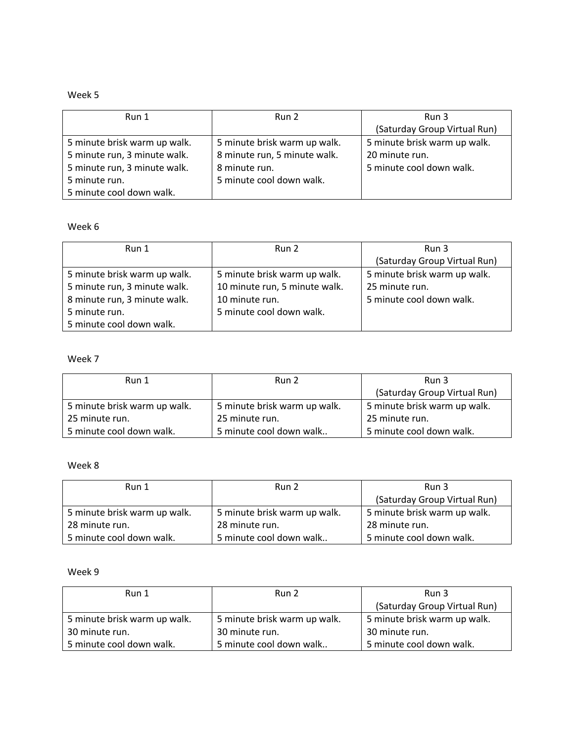## Week 5

| Run 1                        | Run 2                        | Run 3                        |
|------------------------------|------------------------------|------------------------------|
|                              |                              | (Saturday Group Virtual Run) |
| 5 minute brisk warm up walk. | 5 minute brisk warm up walk. | 5 minute brisk warm up walk. |
| 5 minute run, 3 minute walk. | 8 minute run, 5 minute walk. | 20 minute run.               |
| 5 minute run, 3 minute walk. | 8 minute run.                | 5 minute cool down walk.     |
| 5 minute run.                | 5 minute cool down walk.     |                              |
| 5 minute cool down walk.     |                              |                              |

#### Week 6

| Run 1                        | Run 2                         | Run 3                        |
|------------------------------|-------------------------------|------------------------------|
|                              |                               | (Saturday Group Virtual Run) |
| 5 minute brisk warm up walk. | 5 minute brisk warm up walk.  | 5 minute brisk warm up walk. |
| 5 minute run, 3 minute walk. | 10 minute run, 5 minute walk. | 25 minute run.               |
| 8 minute run, 3 minute walk. | 10 minute run.                | 5 minute cool down walk.     |
| 5 minute run.                | 5 minute cool down walk.      |                              |
| 5 minute cool down walk.     |                               |                              |

#### Week 7

| Run 1                        | Run 2                        | Run 3                        |
|------------------------------|------------------------------|------------------------------|
|                              |                              | (Saturday Group Virtual Run) |
| 5 minute brisk warm up walk. | 5 minute brisk warm up walk. | 5 minute brisk warm up walk. |
| 25 minute run.               | 25 minute run.               | 25 minute run.               |
| 5 minute cool down walk.     | 5 minute cool down walk      | 5 minute cool down walk.     |

## Week 8

| Run 1                        | Run 2                        | Run 3                        |
|------------------------------|------------------------------|------------------------------|
|                              |                              | (Saturday Group Virtual Run) |
| 5 minute brisk warm up walk. | 5 minute brisk warm up walk. | 5 minute brisk warm up walk. |
| 28 minute run.               | 28 minute run.               | 28 minute run.               |
| 5 minute cool down walk.     | 5 minute cool down walk      | 5 minute cool down walk.     |

#### Week 9

| Run 1                        | Run 2                        | Run 3                        |
|------------------------------|------------------------------|------------------------------|
|                              |                              | (Saturday Group Virtual Run) |
| 5 minute brisk warm up walk. | 5 minute brisk warm up walk. | 5 minute brisk warm up walk. |
| 30 minute run.               | 30 minute run.               | 30 minute run.               |
| 5 minute cool down walk.     | 5 minute cool down walk      | 5 minute cool down walk.     |